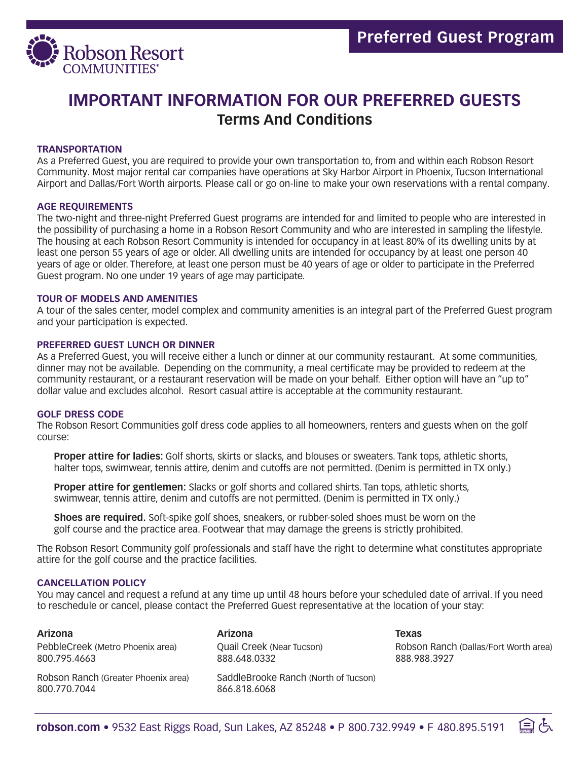

# **IMPORTANT INFORMATION FOR OUR PREFERRED GUESTS Terms And Conditions**

# **TRANSPORTATION**

As a Preferred Guest, you are required to provide your own transportation to, from and within each Robson Resort Community. Most major rental car companies have operations at Sky Harbor Airport in Phoenix, Tucson International Airport and Dallas/Fort Worth airports. Please call or go on-line to make your own reservations with a rental company.

# **AGE REQUIREMENTS**

The two-night and three-night Preferred Guest programs are intended for and limited to people who are interested in the possibility of purchasing a home in a Robson Resort Community and who are interested in sampling the lifestyle. The housing at each Robson Resort Community is intended for occupancy in at least 80% of its dwelling units by at least one person 55 years of age or older. All dwelling units are intended for occupancy by at least one person 40 years of age or older. Therefore, at least one person must be 40 years of age or older to participate in the Preferred Guest program. No one under 19 years of age may participate.

# **TOUR OF MODELS AND AMENITIES**

A tour of the sales center, model complex and community amenities is an integral part of the Preferred Guest program and your participation is expected.

#### **PREFERRED GUEST LUNCH OR DINNER**

As a Preferred Guest, you will receive either a lunch or dinner at our community restaurant. At some communities, dinner may not be available. Depending on the community, a meal certificate may be provided to redeem at the community restaurant, or a restaurant reservation will be made on your behalf. Either option will have an "up to" dollar value and excludes alcohol. Resort casual attire is acceptable at the community restaurant.

# **GOLF DRESS CODE**

The Robson Resort Communities golf dress code applies to all homeowners, renters and guests when on the golf course:

 **Proper attire for ladies:** Golf shorts, skirts or slacks, and blouses or sweaters. Tank tops, athletic shorts, halter tops, swimwear, tennis attire, denim and cutoffs are not permitted. (Denim is permitted in TX only.)

 **Proper attire for gentlemen:** Slacks or golf shorts and collared shirts. Tan tops, athletic shorts, swimwear, tennis attire, denim and cutoffs are not permitted. (Denim is permitted in TX only.)

 **Shoes are required.** Soft-spike golf shoes, sneakers, or rubber-soled shoes must be worn on the golf course and the practice area. Footwear that may damage the greens is strictly prohibited.

The Robson Resort Community golf professionals and staff have the right to determine what constitutes appropriate attire for the golf course and the practice facilities.

#### **CANCELLATION POLICY**

You may cancel and request a refund at any time up until 48 hours before your scheduled date of arrival. If you need to reschedule or cancel, please contact the Preferred Guest representative at the location of your stay:

#### **Arizona**

PebbleCreek (Metro Phoenix area) 800.795.4663

Robson Ranch (Greater Phoenix area) 800.770.7044

**Arizona** Quail Creek (Near Tucson) 888.648.0332

SaddleBrooke Ranch (North of Tucson) 866.818.6068

**Texas** Robson Ranch (Dallas/Fort Worth area) 888.988.3927

臼